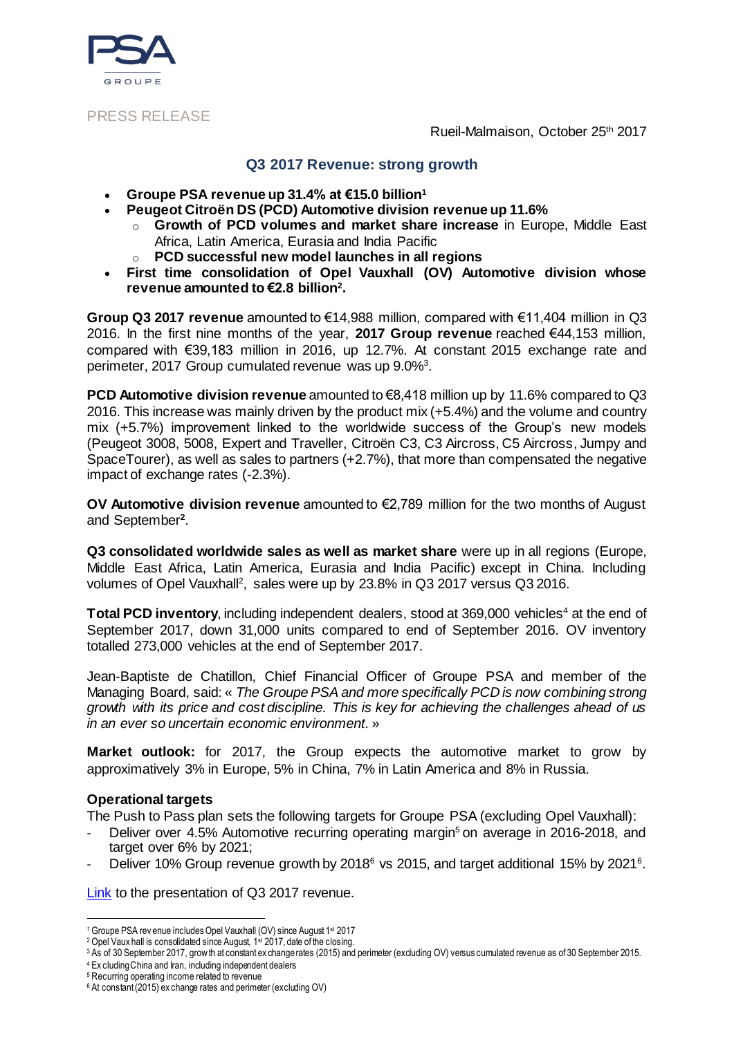

PRESS RELEASE

Rueil-Malmaison, October 25th 2017

### **Q3 2017 Revenue: strong growth**

- **Groupe PSA revenue up 31.4% at €15.0 billion<sup>1</sup>**
- **Peugeot Citroën DS (PCD) Automotive division revenue up 11.6%**
	- o **Growth of PCD volumes and market share increase** in Europe, Middle East Africa, Latin America, Eurasia and India Pacific
	- o **PCD successful new model launches in all regions**
- **First time consolidation of Opel Vauxhall (OV) Automotive division whose revenue amounted to €2.8 billion<sup>2</sup> .**

**Group Q3 2017 revenue** amounted to €14,988 million, compared with €11,404 million in Q3 2016. In the first nine months of the year, **2017 Group revenue** reached €44,153 million, compared with €39,183 million in 2016, up 12.7%. At constant 2015 exchange rate and perimeter, 2017 Group cumulated revenue was up 9.0%<sup>3</sup>.

**PCD Automotive division revenue** amounted to €8,418 million up by 11.6% compared to Q3 2016. This increase was mainly driven by the product mix (+5.4%) and the volume and country mix (+5.7%) improvement linked to the worldwide success of the Group's new models (Peugeot 3008, 5008, Expert and Traveller, Citroën C3, C3 Aircross, C5 Aircross, Jumpy and SpaceTourer), as well as sales to partners (+2.7%), that more than compensated the negative impact of exchange rates (-2.3%).

**OV Automotive division revenue** amounted to €2,789 million for the two months of August and September**<sup>2</sup>** .

**Q3 consolidated worldwide sales as well as market share** were up in all regions (Europe, Middle East Africa, Latin America, Eurasia and India Pacific) except in China. Including volumes of Opel Vauxhall<sup>2</sup>, sales were up by 23.8% in Q3 2017 versus Q3 2016.

**Total PCD inventory, including independent dealers, stood at 369,000 vehicles<sup>4</sup> at the end of** September 2017, down 31,000 units compared to end of September 2016. OV inventory totalled 273,000 vehicles at the end of September 2017.

Jean-Baptiste de Chatillon, Chief Financial Officer of Groupe PSA and member of the Managing Board, said: « *The Groupe PSA and more specifically PCD is now combining strong growth with its price and cost discipline. This is key for achieving the challenges ahead of us in an ever so uncertain economic environment.* »

**Market outlook:** for 2017, the Group expects the automotive market to grow by approximatively 3% in Europe, 5% in China, 7% in Latin America and 8% in Russia.

## **Operational targets**

The Push to Pass plan sets the following targets for Groupe PSA (excluding Opel Vauxhall):

- Deliver over 4.5% Automotive recurring operating margin<sup>5</sup> on average in 2016-2018, and target over 6% by 2021;
- Deliver 10% Group revenue growth by 2018<sup>6</sup> vs 2015, and target additional 15% by 2021<sup>6</sup>.

[Link](https://www.groupe-psa.com/en/publication/q3-results-2017/) to the presentation of Q3 2017 revenue.

<sup>4</sup> Ex cluding China and Iran, including independent dealers

l <sup>1</sup> Groupe PSA rev enue includes Opel Vauxhall (OV) since August 1st 2017

<sup>&</sup>lt;sup>2</sup> Opel Vaux hall is consolidated since August, 1<sup>st</sup> 2017, date of the closing.

<sup>3</sup> As of 30 September 2017, grow th at constant ex change rates (2015) and perimeter (excluding OV) versus cumulated revenue as of 30 September 2015.

<sup>&</sup>lt;sup>5</sup> Recurring operating income related to revenue

<sup>6</sup> At constant (2015) ex change rates and perimeter (excluding OV)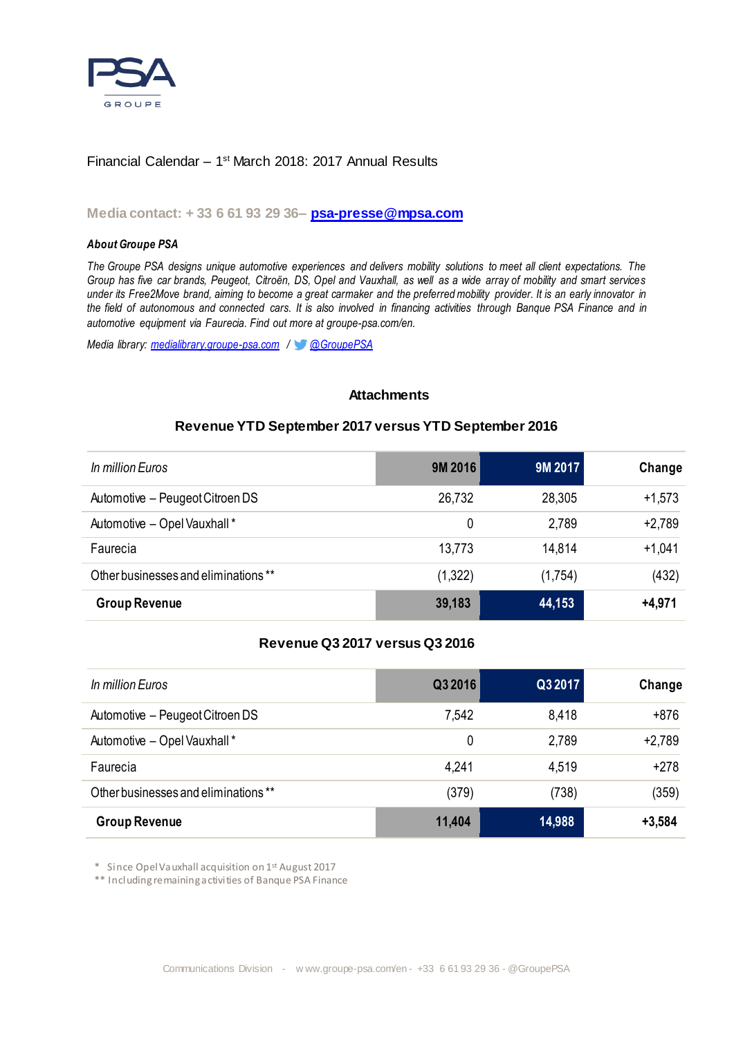

### Financial Calendar – 1<sup>st</sup> March 2018: 2017 Annual Results

### **Media contact: + 33 6 61 93 29 36– [psa-presse@mpsa.com](mailto:psa-presse@mpsa.com)**

#### *About Groupe PSA*

*The Groupe PSA designs unique automotive experiences and delivers mobility solutions to meet all client expectations. The Group has five car brands, [Peugeot,](http://www.peugeot.com/en) [Citroën,](http://www.citroen.com/en) [DS,](http://www.dsautomobiles.co.uk/) [Opel](http://www.opel.de/) and [Vauxhall,](http://www.vauxhall.co.uk/) as well as a wide array of mobility and smart services under its [Free2Move](http://fr.free2move.com/en/) brand, aiming to become a great [carmaker](https://www.groupe-psa.com/en) and the preferred mobility provider. It is an early innovator in the field of [autonomous and connected cars.](https://www.groupe-psa.com/en/story/en-route-vers-la-voiture-autonome/) It is also involved in financing activities through [Banque PSA Finance](http://www.banquepsafinance.com/) and in automotive equipment via [Faurecia.](http://www.faurecia.com/en) Find out more at groupe-psa.com/en.*

*Media library: [medialibrary.groupe-psa.com](http://medialibrary.groupe-psa.com/) / [@GroupePSA](http://twitter.com/GroupePSA)*

#### **Attachments**

### **Revenue YTD September 2017 versus YTD September 2016**

| In million Euros                     | 9M 2016 | 9M 2017 | Change   |
|--------------------------------------|---------|---------|----------|
| Automotive - Peugeot Citroen DS      | 26,732  | 28,305  | $+1,573$ |
| Automotive - Opel Vauxhall*          | 0       | 2,789   | $+2,789$ |
| Faurecia                             | 13,773  | 14.814  | $+1,041$ |
| Other businesses and eliminations ** | (1,322) | (1,754) | (432)    |
| <b>Group Revenue</b>                 | 39,183  | 44,153  | $+4,971$ |

## **Revenue Q3 2017 versus Q3 2016**

| In million Euros                    | Q3 2016 | Q3 2017 | Change   |
|-------------------------------------|---------|---------|----------|
| Automotive - Peugeot Citroen DS     | 7,542   | 8,418   | $+876$   |
| Automotive - Opel Vauxhall*         | 0       | 2,789   | $+2,789$ |
| Faurecia                            | 4,241   | 4,519   | $+278$   |
| Other businesses and eliminations** | (379)   | (738)   | (359)    |
| <b>Group Revenue</b>                | 11,404  | 14,988  | $+3,584$ |

\* Since Opel Vauxhall acquisition on 1st August 2017

\*\* Including remaining activities of Banque PSA Finance